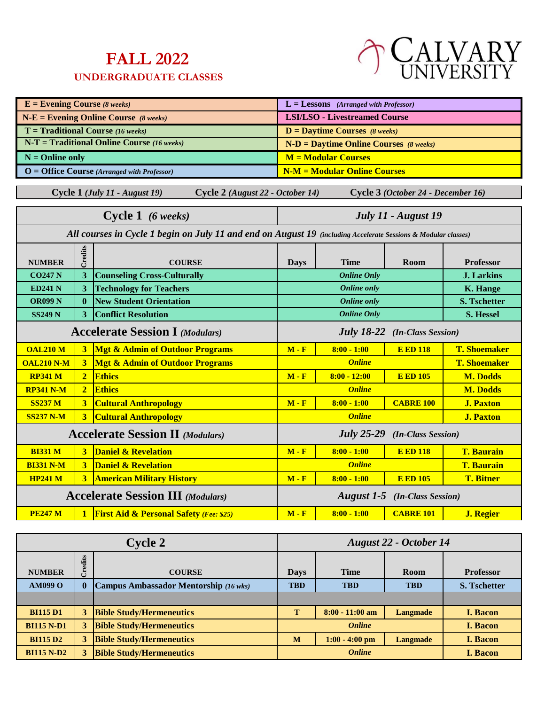## **FALL 2022**

## **UNDERGRADUATE CLASSES**



| $E =$ Evening Course (8 weeks) |                                                                                 |                                                                                                                | $L =$ Lessons (Arranged with Professor)   |                                          |                                    |                     |
|--------------------------------|---------------------------------------------------------------------------------|----------------------------------------------------------------------------------------------------------------|-------------------------------------------|------------------------------------------|------------------------------------|---------------------|
|                                | $N-E =$ Evening Online Course (8 weeks)<br><b>LSI/LSO - Livestreamed Course</b> |                                                                                                                |                                           |                                          |                                    |                     |
|                                |                                                                                 | $T =$ Traditional Course (16 weeks)                                                                            |                                           | $D =$ Daytime Courses (8 weeks)          |                                    |                     |
|                                |                                                                                 | $N-T = Traditional Online Course (16 weeks)$                                                                   |                                           | $N-D =$ Daytime Online Courses (8 weeks) |                                    |                     |
| $N =$ Online only              |                                                                                 |                                                                                                                |                                           | $M = Modular$ Courses                    |                                    |                     |
|                                |                                                                                 | O = Office Course (Arranged with Professor)                                                                    |                                           | <b>N-M = Modular Online Courses</b>      |                                    |                     |
|                                |                                                                                 | Cycle 1 (July 11 - August 19)<br>Cycle 2 (August 22 - October 14)                                              |                                           |                                          | Cycle 3 (October 24 - December 16) |                     |
|                                |                                                                                 |                                                                                                                |                                           |                                          |                                    |                     |
|                                |                                                                                 | Cycle 1 (6 weeks)                                                                                              |                                           |                                          | July 11 - August 19                |                     |
|                                |                                                                                 | All courses in Cycle 1 begin on July 11 and end on August 19 (including Accelerate Sessions & Modular classes) |                                           |                                          |                                    |                     |
|                                | Credits                                                                         |                                                                                                                |                                           |                                          |                                    |                     |
| <b>NUMBER</b>                  |                                                                                 | <b>COURSE</b>                                                                                                  | <b>Days</b>                               | <b>Time</b>                              | Room                               | <b>Professor</b>    |
| <b>CO247 N</b>                 | 3                                                                               | <b>Counseling Cross-Culturally</b>                                                                             |                                           | <b>Online Only</b>                       |                                    | <b>J.</b> Larkins   |
| <b>ED241 N</b>                 | 3                                                                               | <b>Technology for Teachers</b>                                                                                 |                                           | <b>Online</b> only                       |                                    | <b>K.</b> Hange     |
| <b>OR099 N</b>                 | $\mathbf{0}$                                                                    | <b>New Student Orientation</b>                                                                                 | <b>Online only</b><br><b>S. Tschetter</b> |                                          |                                    |                     |
| <b>SS249 N</b>                 | 3                                                                               | <b>Conflict Resolution</b>                                                                                     | <b>Online Only</b><br><b>S. Hessel</b>    |                                          |                                    |                     |
|                                |                                                                                 | <b>Accelerate Session I (Modulars)</b>                                                                         | <b>July 18-22</b> (In-Class Session)      |                                          |                                    |                     |
| <b>OAL210 M</b>                | $\overline{\mathbf{3}}$                                                         | <b>Mgt &amp; Admin of Outdoor Programs</b>                                                                     | $M - F$                                   | $8:00 - 1:00$                            | <b>E ED 118</b>                    | <b>T. Shoemaker</b> |
| <b>OAL210 N-M</b>              | $\overline{\mathbf{3}}$                                                         | <b>Mgt &amp; Admin of Outdoor Programs</b>                                                                     |                                           | <b>Online</b>                            |                                    | <b>T. Shoemaker</b> |
| <b>RP341 M</b>                 | $\overline{2}$                                                                  | <b>Ethics</b>                                                                                                  | $M - F$                                   | $8:00 - 12:00$                           | <b>E ED 105</b>                    | <b>M. Dodds</b>     |
| <b>RP341 N-M</b>               | $\overline{2}$                                                                  | <b>Ethics</b>                                                                                                  |                                           | <b>Online</b>                            |                                    | <b>M. Dodds</b>     |
| <b>SS237 M</b>                 | $\overline{\mathbf{3}}$                                                         | <b>Cultural Anthropology</b>                                                                                   | $M - F$                                   | $8:00 - 1:00$                            | <b>CABRE 100</b>                   | <b>J. Paxton</b>    |
| <b>SS237 N-M</b>               | $\overline{3}$                                                                  | <b>Cultural Anthropology</b>                                                                                   |                                           | <b>Online</b>                            |                                    | <b>J. Paxton</b>    |
|                                |                                                                                 | <b>Accelerate Session II</b> (Modulars)                                                                        | <b>July 25-29</b><br>(In-Class Session)   |                                          |                                    |                     |
| <b>BI331 M</b>                 | $\overline{\mathbf{3}}$                                                         | <b>Daniel &amp; Revelation</b>                                                                                 | $M - F$                                   | $8:00 - 1:00$                            | <b>E ED 118</b>                    | <b>T. Baurain</b>   |
| <b>BI331 N-M</b>               | $\overline{\mathbf{3}}$                                                         | <b>Daniel &amp; Revelation</b>                                                                                 |                                           | <b>Online</b>                            |                                    | <b>T. Baurain</b>   |
| <b>HP241 M</b>                 | 3                                                                               | <b>American Military History</b>                                                                               | $M - F$                                   | $8:00 - 1:00$                            | <b>E ED 105</b>                    | <b>T. Bitner</b>    |
|                                |                                                                                 | <b>Accelerate Session III</b> (Modulars)                                                                       | <b>August 1-5</b> (In-Class Session)      |                                          |                                    |                     |
| <b>PE247 M</b>                 | $\mathbf{1}$                                                                    | <b>First Aid &amp; Personal Safety (Fee: \$25)</b>                                                             | $M - F$                                   | $8:00 - 1:00$                            | <b>CABRE 101</b>                   | <b>J. Regier</b>    |

| <b>Cycle 2</b>    |          | August 22 - October 14                |               |                   |                 |                     |
|-------------------|----------|---------------------------------------|---------------|-------------------|-----------------|---------------------|
| <b>NUMBER</b>     | Credits  | <b>COURSE</b>                         | <b>Days</b>   | <b>Time</b>       | <b>Room</b>     | <b>Professor</b>    |
| <b>AM099 O</b>    | $\bf{0}$ | Campus Ambassador Mentorship (16 wks) | <b>TBD</b>    | <b>TBD</b>        | <b>TBD</b>      | <b>S. Tschetter</b> |
|                   |          |                                       |               |                   |                 |                     |
| <b>BI115 D1</b>   | 3        | <b>Bible Study/Hermeneutics</b>       | т             | $8:00 - 11:00$ am | <b>Langmade</b> | <b>I. Bacon</b>     |
| <b>BI115 N-D1</b> | 3        | <b>Bible Study/Hermeneutics</b>       | <b>Online</b> |                   |                 | <b>I. Bacon</b>     |
| <b>BI115 D2</b>   | 3        | <b>Bible Study/Hermeneutics</b>       | M             | $1:00 - 4:00$ pm  | <b>Langmade</b> | <b>I. Bacon</b>     |
| <b>BI115 N-D2</b> | 3        | <b>Bible Study/Hermeneutics</b>       | <b>Online</b> |                   |                 | <b>I.</b> Bacon     |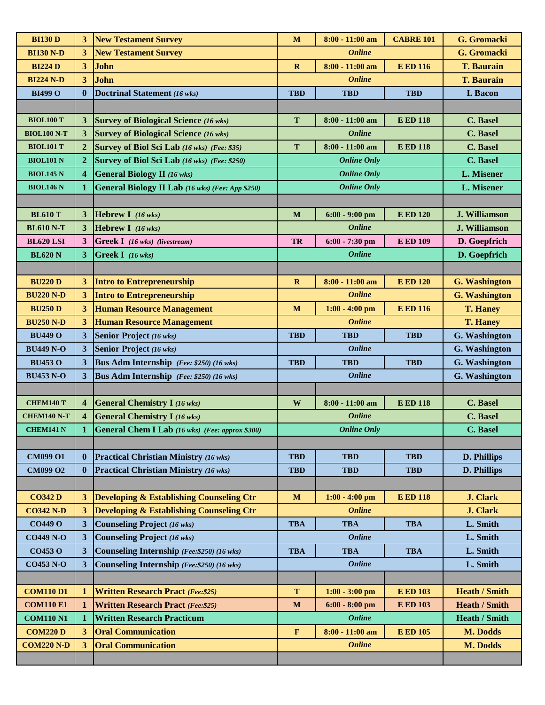| <b>BI130 D</b>     | 3                       | <b>New Testament Survey</b>                             | $\mathbf M$  | $8:00 - 11:00$ am  | <b>CABRE 101</b> | G. Gromacki          |
|--------------------|-------------------------|---------------------------------------------------------|--------------|--------------------|------------------|----------------------|
| <b>BI130 N-D</b>   | 3                       | <b>New Testament Survey</b>                             |              | <b>Online</b>      |                  | G. Gromacki          |
| <b>BI224 D</b>     | $3^{\circ}$             | John                                                    | $\mathbf R$  | $8:00 - 11:00$ am  | <b>E ED 116</b>  | <b>T. Baurain</b>    |
| <b>BI224 N-D</b>   | 3 <sup>1</sup>          | John                                                    |              | <b>Online</b>      |                  | <b>T. Baurain</b>    |
| <b>BI499 O</b>     | $\bf{0}$                | Doctrinal Statement (16 wks)                            | <b>TBD</b>   | <b>TBD</b>         | <b>TBD</b>       | I. Bacon             |
|                    |                         |                                                         |              |                    |                  |                      |
| <b>BIOL100 T</b>   | 3                       | <b>Survey of Biological Science</b> (16 wks)            | T            | $8:00 - 11:00$ am  | <b>E ED 118</b>  | C. Basel             |
| <b>BIOL100 N-T</b> | 3 <sup>1</sup>          | <b>Survey of Biological Science (16 wks)</b>            |              | Online             |                  | C. Basel             |
| <b>BIOL101 T</b>   | $\overline{2}$          | Survey of Biol Sci Lab (16 wks) (Fee: \$35)             | T            | $8:00 - 11:00$ am  | <b>E ED 118</b>  | C. Basel             |
| <b>BIOL101 N</b>   | $\overline{2}$          | Survey of Biol Sci Lab (16 wks) (Fee: \$250)            |              | <b>Online Only</b> |                  | C. Basel             |
| <b>BIOL145 N</b>   | $\overline{\mathbf{4}}$ | <b>General Biology II</b> (16 wks)                      |              | <b>Online Only</b> |                  | L. Misener           |
| <b>BIOL146 N</b>   | $\mathbf{1}$            | <b>General Biology II Lab</b> (16 wks) (Fee: App \$250) |              | <b>Online Only</b> |                  | L. Misener           |
|                    |                         |                                                         |              |                    |                  |                      |
| <b>BL610 T</b>     | 3                       | <b>Hebrew I</b> (16 wks)                                | $\mathbf M$  | $6:00 - 9:00$ pm   | <b>E ED 120</b>  | J. Williamson        |
| <b>BL610 N-T</b>   | 3 <sup>1</sup>          | Hebrew I $(16 \text{ wks})$                             |              | <b>Online</b>      |                  | J. Williamson        |
| <b>BL620 LSI</b>   | 3 <sup>2</sup>          | <b>Greek I</b> (16 wks) (livestream)                    | <b>TR</b>    | 6:00 - 7:30 pm     | <b>E ED 109</b>  | D. Goepfrich         |
| <b>BL620 N</b>     | 3 <sup>1</sup>          | Greek I (16 wks)                                        |              | <b>Online</b>      |                  | D. Goepfrich         |
|                    |                         |                                                         |              |                    |                  |                      |
| <b>BU220 D</b>     | 3 <sup>1</sup>          | Intro to Entrepreneurship                               | $\mathbf R$  | $8:00 - 11:00$ am  | <b>E ED 120</b>  | <b>G.</b> Washington |
| <b>BU220 N-D</b>   | 3 <sup>1</sup>          | <b>Intro to Entrepreneurship</b>                        |              | <b>Online</b>      |                  | <b>G.</b> Washington |
| <b>BU250 D</b>     | 3 <sup>1</sup>          | <b>Human Resource Management</b>                        | $\mathbf M$  | $1:00 - 4:00$ pm   | <b>E ED 116</b>  | <b>T. Haney</b>      |
| <b>BU250 N-D</b>   | 3 <sup>1</sup>          | <b>Human Resource Management</b>                        |              | <b>Online</b>      |                  | <b>T. Haney</b>      |
| <b>BU449 O</b>     | 3 <sup>1</sup>          | <b>Senior Project</b> (16 wks)                          | <b>TBD</b>   | <b>TBD</b>         | <b>TBD</b>       | G. Washington        |
| <b>BU449 N-O</b>   | 3                       | <b>Senior Project (16 wks)</b>                          |              | <b>Online</b>      |                  | G. Washington        |
| <b>BU453 O</b>     | 3 <sup>1</sup>          | Bus Adm Internship (Fee: \$250) (16 wks)                | <b>TBD</b>   | <b>TBD</b>         | <b>TBD</b>       | G. Washington        |
| <b>BU453 N-O</b>   | 3                       | Bus Adm Internship (Fee: \$250) (16 wks)                |              | <b>Online</b>      |                  | <b>G.</b> Washington |
|                    |                         |                                                         |              |                    |                  |                      |
| <b>CHEM140 T</b>   | $\overline{\mathbf{4}}$ | <b>General Chemistry I</b> (16 wks)                     | W            | $8:00 - 11:00$ am  | <b>E ED 118</b>  | <b>C.</b> Basel      |
| <b>CHEM140 N-T</b> | $\overline{\mathbf{4}}$ | <b>General Chemistry I</b> (16 wks)                     |              | <b>Online</b>      |                  | <b>C.</b> Basel      |
| <b>CHEM141 N</b>   |                         | General Chem I Lab (16 wks) (Fee: approx \$300)         |              | <b>Online Only</b> |                  | C. Basel             |
|                    |                         |                                                         |              |                    |                  |                      |
| <b>CM099 O1</b>    | $\bf{0}$                | <b>Practical Christian Ministry (16 wks)</b>            | <b>TBD</b>   | <b>TBD</b>         | <b>TBD</b>       | D. Phillips          |
| CM099 O2           | $\bf{0}$                | <b>Practical Christian Ministry (16 wks)</b>            | <b>TBD</b>   | <b>TBD</b>         | <b>TBD</b>       | D. Phillips          |
|                    |                         |                                                         |              |                    |                  |                      |
| <b>CO342 D</b>     | 3 <sup>1</sup>          | <b>Developing &amp; Establishing Counseling Ctr</b>     | $\mathbf{M}$ | $1:00 - 4:00$ pm   | <b>E ED 118</b>  | J. Clark             |
| <b>CO342 N-D</b>   | 3 <sup>1</sup>          | <b>Developing &amp; Establishing Counseling Ctr</b>     |              | <b>Online</b>      |                  | J. Clark             |
| <b>CO449 O</b>     | 3 <sup>1</sup>          | <b>Counseling Project (16 wks)</b>                      | <b>TBA</b>   | <b>TBA</b>         | <b>TBA</b>       | L. Smith             |
| <b>CO449 N-O</b>   | 3 <sup>1</sup>          | <b>Counseling Project (16 wks)</b>                      |              | <b>Online</b>      |                  | L. Smith             |
| <b>CO453 O</b>     | 3 <sup>1</sup>          | Counseling Internship (Fee: \$250) (16 wks)             | <b>TBA</b>   | <b>TBA</b>         | <b>TBA</b>       | L. Smith             |
| <b>CO453 N-O</b>   | 3 <sup>1</sup>          | Counseling Internship (Fee: \$250) (16 wks)             |              | <b>Online</b>      |                  | L. Smith             |
|                    |                         |                                                         |              |                    |                  |                      |
| <b>COM110 D1</b>   | $\bf{1}$                | <b>Written Research Pract (Fee: \$25)</b>               | $\mathbf T$  | $1:00 - 3:00$ pm   | <b>E ED 103</b>  | <b>Heath / Smith</b> |
| <b>COM110 E1</b>   | $\mathbf{1}$            | <b>Written Research Pract (Fee: \$25)</b>               | $\mathbf{M}$ | $6:00 - 8:00$ pm   | <b>E ED 103</b>  | <b>Heath / Smith</b> |
| <b>COM110 N1</b>   | 1                       | <b>Written Research Practicum</b>                       |              | <b>Online</b>      |                  | <b>Heath / Smith</b> |
| <b>COM220 D</b>    | 3 <sup>1</sup>          | <b>Oral Communication</b>                               | $\mathbf F$  | $8:00 - 11:00$ am  | <b>E ED 105</b>  | M. Dodds             |
| <b>COM220 N-D</b>  | $\overline{\mathbf{3}}$ | <b>Oral Communication</b>                               |              | <b>Online</b>      |                  | M. Dodds             |
|                    |                         |                                                         |              |                    |                  |                      |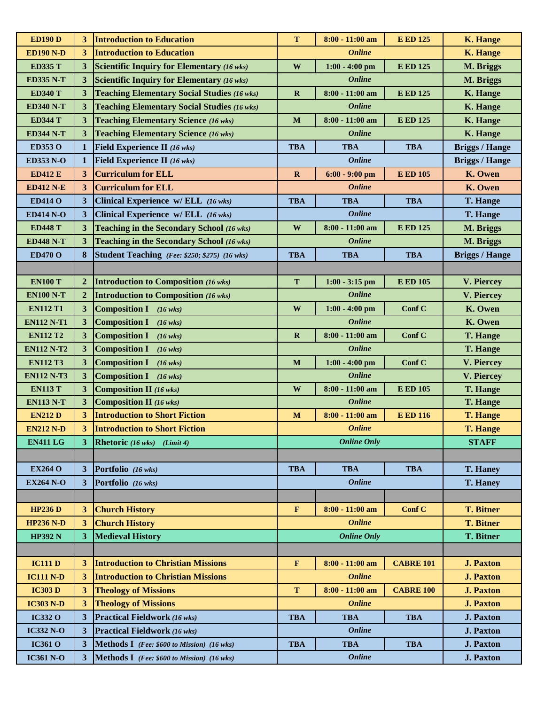| <b>ED190 D</b>    | 3                | <b>Introduction to Education</b>                   | $\mathbf T$  | $8:00 - 11:00$ am  | <b>E ED 125</b>  | <b>K. Hange</b>       |
|-------------------|------------------|----------------------------------------------------|--------------|--------------------|------------------|-----------------------|
| <b>ED190 N-D</b>  | 3 <sup>2</sup>   | <b>Introduction to Education</b>                   |              | <b>Online</b>      |                  | <b>K. Hange</b>       |
| <b>ED335 T</b>    | 3                | <b>Scientific Inquiry for Elementary (16 wks)</b>  | W            | $1:00 - 4:00$ pm   | <b>E ED 125</b>  | M. Briggs             |
| <b>ED335 N-T</b>  | 3                | <b>Scientific Inquiry for Elementary (16 wks)</b>  |              | <b>Online</b>      |                  | M. Briggs             |
| <b>ED340 T</b>    | 3                | <b>Teaching Elementary Social Studies (16 wks)</b> | $\mathbf R$  | 8:00 - 11:00 am    | <b>E ED 125</b>  | <b>K.</b> Hange       |
| <b>ED340 N-T</b>  | 3                | <b>Teaching Elementary Social Studies (16 wks)</b> |              | <b>Online</b>      |                  | <b>K.</b> Hange       |
| <b>ED344 T</b>    | 3                | <b>Teaching Elementary Science (16 wks)</b>        | M            | 8:00 - 11:00 am    | <b>E ED 125</b>  | <b>K.</b> Hange       |
| <b>ED344 N-T</b>  | 3                | <b>Teaching Elementary Science (16 wks)</b>        |              | <b>Online</b>      |                  | <b>K.</b> Hange       |
| ED353 O           | $\mathbf{1}$     | Field Experience II (16 wks)                       | <b>TBA</b>   | <b>TBA</b>         | <b>TBA</b>       | <b>Briggs / Hange</b> |
| <b>ED353 N-O</b>  | 1                | Field Experience II (16 wks)                       |              | <b>Online</b>      |                  | <b>Briggs / Hange</b> |
| <b>ED412 E</b>    | $\mathbf{3}$     | <b>Curriculum for ELL</b>                          | $\mathbf R$  | $6:00 - 9:00$ pm   | <b>E ED 105</b>  | K. Owen               |
| <b>ED412 N-E</b>  | 3                | <b>Curriculum for ELL</b>                          |              | <b>Online</b>      |                  | K. Owen               |
| <b>ED414 O</b>    | 3                | Clinical Experience w/ ELL (16 wks)                | <b>TBA</b>   | <b>TBA</b>         | <b>TBA</b>       | <b>T. Hange</b>       |
| <b>ED414 N-O</b>  | 3                | Clinical Experience w/ ELL (16 wks)                |              | <b>Online</b>      |                  | T. Hange              |
| <b>ED448 T</b>    | 3                | Teaching in the Secondary School (16 wks)          | W            | 8:00 - 11:00 am    | <b>E ED 125</b>  | M. Briggs             |
| <b>ED448 N-T</b>  | 3                | Teaching in the Secondary School (16 wks)          |              | <b>Online</b>      |                  | M. Briggs             |
| <b>ED470 O</b>    | 8                | Student Teaching (Fee: \$250; \$275) (16 wks)      | <b>TBA</b>   | <b>TBA</b>         | <b>TBA</b>       | <b>Briggs / Hange</b> |
|                   |                  |                                                    |              |                    |                  |                       |
| <b>EN100 T</b>    | $\overline{2}$   | <b>Introduction to Composition (16 wks)</b>        | T            | $1:00 - 3:15$ pm   | <b>E ED 105</b>  | V. Piercey            |
| <b>EN100 N-T</b>  | $\boldsymbol{2}$ | <b>Introduction to Composition (16 wks)</b>        |              | <b>Online</b>      |                  | V. Piercey            |
| <b>EN112 T1</b>   | 3                | <b>Composition I</b><br>$(16 \text{ wks})$         | $\mathbf{W}$ | $1:00 - 4:00$ pm   | Conf C           | K. Owen               |
| <b>EN112 N-T1</b> | 3                | <b>Composition I</b><br>$(16 \text{ wks})$         |              | <b>Online</b>      |                  | K. Owen               |
| <b>EN112 T2</b>   | $\mathbf{3}$     | <b>Composition I</b><br>$(16 \text{ wks})$         | $\mathbf R$  | 8:00 - 11:00 am    | Conf C           | <b>T. Hange</b>       |
| <b>EN112 N-T2</b> | 3                | <b>Composition I</b><br>$(16 \text{ wks})$         |              | <b>Online</b>      |                  | <b>T. Hange</b>       |
| <b>EN112 T3</b>   | $\mathbf{3}$     | <b>Composition I</b><br>$(16 \text{ wks})$         | $\mathbf{M}$ | $1:00 - 4:00$ pm   | Conf C           | V. Piercey            |
| <b>EN112 N-T3</b> | $\mathbf{3}$     | <b>Composition I</b><br>$(16 \text{ wks})$         |              | <b>Online</b>      |                  | V. Piercey            |
| <b>EN113 T</b>    | $\mathbf{3}$     | <b>Composition II</b> (16 wks)                     | W            | 8:00 - 11:00 am    | <b>E ED 105</b>  | <b>T. Hange</b>       |
| <b>EN113 N-T</b>  | $\mathbf{3}$     | <b>Composition II</b> (16 wks)                     |              | <b>Online</b>      |                  | <b>T. Hange</b>       |
| <b>EN212 D</b>    | 3 <sup>1</sup>   | <b>Introduction to Short Fiction</b>               | $\mathbf M$  | $8:00 - 11:00$ am  | <b>E ED 116</b>  | <b>T. Hange</b>       |
| <b>EN212 N-D</b>  | 3 <sup>1</sup>   | <b>Introduction to Short Fiction</b>               |              | <b>Online</b>      |                  | <b>T. Hange</b>       |
| <b>EN411 LG</b>   | 3                | <b>Rhetoric</b> (16 wks) (Limit 4)                 |              | <b>Online Only</b> |                  | <b>STAFF</b>          |
|                   |                  |                                                    |              |                    |                  |                       |
| <b>EX264 O</b>    | 3                | Portfolio (16 wks)                                 | <b>TBA</b>   | <b>TBA</b>         | <b>TBA</b>       | <b>T. Haney</b>       |
| <b>EX264 N-O</b>  | 3 <sup>1</sup>   | Portfolio (16 wks)                                 |              | <b>Online</b>      |                  | <b>T. Haney</b>       |
|                   |                  |                                                    |              |                    |                  |                       |
| <b>HP236D</b>     | 3 <sup>1</sup>   | <b>Church History</b>                              | F            | $8:00 - 11:00$ am  | Conf C           | <b>T. Bitner</b>      |
| <b>HP236 N-D</b>  | 3                | <b>Church History</b>                              |              | <b>Online</b>      |                  | <b>T. Bitner</b>      |
| <b>HP392 N</b>    | 3 <sup>1</sup>   | <b>Medieval History</b>                            |              | <b>Online Only</b> |                  | <b>T. Bitner</b>      |
|                   |                  |                                                    |              |                    |                  |                       |
| <b>IC111 D</b>    | 3                | <b>Introduction to Christian Missions</b>          | $\mathbf F$  | $8:00 - 11:00$ am  | <b>CABRE 101</b> | <b>J. Paxton</b>      |
| <b>IC111 N-D</b>  | 3 <sup>1</sup>   | <b>Introduction to Christian Missions</b>          |              | <b>Online</b>      |                  | <b>J. Paxton</b>      |
| <b>IC303 D</b>    | $\mathbf{3}$     | <b>Theology of Missions</b>                        | T            | 8:00 - 11:00 am    | <b>CABRE 100</b> | <b>J. Paxton</b>      |
| <b>IC303 N-D</b>  | 3 <sup>1</sup>   | <b>Theology of Missions</b>                        |              | <b>Online</b>      |                  | <b>J. Paxton</b>      |
| <b>IC332 O</b>    | $\mathbf{3}$     | <b>Practical Fieldwork (16 wks)</b>                | <b>TBA</b>   | <b>TBA</b>         | <b>TBA</b>       | <b>J. Paxton</b>      |
| <b>IC332 N-O</b>  | $\mathbf{3}$     | <b>Practical Fieldwork (16 wks)</b>                |              | <b>Online</b>      |                  | <b>J. Paxton</b>      |
| <b>IC361 O</b>    | 3                | Methods I (Fee: \$600 to Mission) (16 wks)         | <b>TBA</b>   | <b>TBA</b>         | <b>TBA</b>       | <b>J. Paxton</b>      |
| <b>IC361 N-O</b>  | $\overline{3}$   | Methods I (Fee: \$600 to Mission) (16 wks)         |              | <b>Online</b>      |                  | <b>J. Paxton</b>      |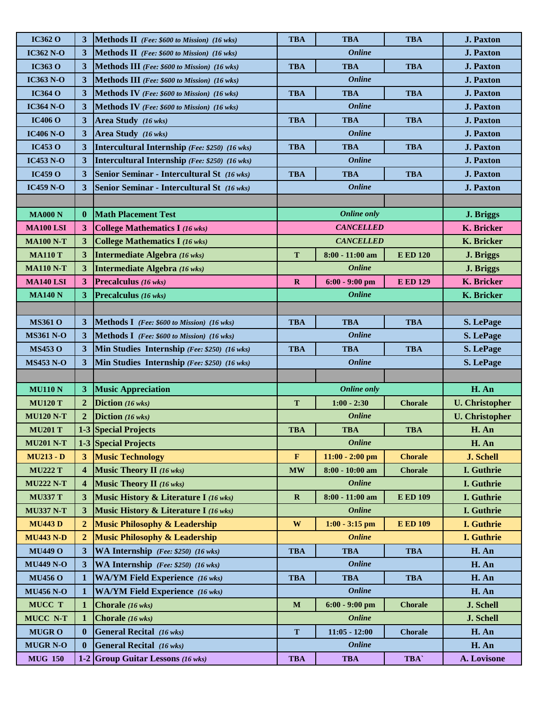| <b>IC362 O</b>   | 3                       | <b>Methods II</b> (Fee: \$600 to Mission) (16 wks)  | <b>TBA</b>   | <b>TBA</b>         | <b>TBA</b>      | <b>J. Paxton</b>      |
|------------------|-------------------------|-----------------------------------------------------|--------------|--------------------|-----------------|-----------------------|
| <b>IC362 N-O</b> | 3                       | <b>Methods II</b> (Fee: $$600$ to Mission) (16 wks) |              | <b>Online</b>      |                 | <b>J. Paxton</b>      |
| <b>IC363 O</b>   | 3                       | <b>Methods III</b> (Fee: \$600 to Mission) (16 wks) | TBA          | <b>TBA</b>         | <b>TBA</b>      | <b>J. Paxton</b>      |
| <b>IC363 N-O</b> | 3                       | <b>Methods III</b> (Fee: \$600 to Mission) (16 wks) |              | <b>Online</b>      |                 | <b>J. Paxton</b>      |
| <b>IC364 O</b>   | 3                       | <b>Methods IV</b> (Fee: \$600 to Mission) (16 wks)  | <b>TBA</b>   | <b>TBA</b>         | <b>TBA</b>      | <b>J. Paxton</b>      |
| <b>IC364 N-O</b> | $\mathbf{3}$            | <b>Methods IV</b> (Fee: \$600 to Mission) (16 wks)  |              | <b>Online</b>      |                 | <b>J. Paxton</b>      |
| <b>IC406 O</b>   | $\mathbf{3}$            | Area Study (16 wks)                                 | <b>TBA</b>   | <b>TBA</b>         | <b>TBA</b>      | <b>J. Paxton</b>      |
| <b>IC406 N-O</b> | $\mathbf{3}$            | Area Study (16 wks)                                 |              | <b>Online</b>      |                 | <b>J. Paxton</b>      |
| <b>IC453 O</b>   | $\mathbf{3}$            | Intercultural Internship (Fee: \$250) (16 wks)      | <b>TBA</b>   | <b>TBA</b>         | <b>TBA</b>      | <b>J. Paxton</b>      |
| <b>IC453 N-O</b> | 3                       | Intercultural Internship (Fee: \$250) (16 wks)      |              | <b>Online</b>      |                 | <b>J. Paxton</b>      |
| <b>IC459 O</b>   | 3                       | Senior Seminar - Intercultural St (16 wks)          | <b>TBA</b>   | <b>TBA</b>         | <b>TBA</b>      | <b>J. Paxton</b>      |
| <b>IC459 N-O</b> | 3                       | Senior Seminar - Intercultural St (16 wks)          |              | <b>Online</b>      |                 | <b>J. Paxton</b>      |
|                  |                         |                                                     |              |                    |                 |                       |
| <b>MA000 N</b>   | $\mathbf{0}$            | <b>Math Placement Test</b>                          |              | <b>Online only</b> |                 | J. Briggs             |
| <b>MA100 LSI</b> | $\mathbf{3}$            | <b>College Mathematics I (16 wks)</b>               |              | <b>CANCELLED</b>   |                 | K. Bricker            |
| <b>MA100 N-T</b> | 3 <sup>1</sup>          | <b>College Mathematics I (16 wks)</b>               |              | <b>CANCELLED</b>   |                 | <b>K.</b> Bricker     |
| <b>MA110 T</b>   | $\mathbf{3}$            | Intermediate Algebra (16 wks)                       | T            | 8:00 - 11:00 am    | <b>E ED 120</b> | J. Briggs             |
| <b>MA110 N-T</b> | 3                       | Intermediate Algebra (16 wks)                       |              | <b>Online</b>      |                 | J. Briggs             |
| <b>MA140 LSI</b> | 3 <sup>2</sup>          | Precalculus (16 wks)                                | $\mathbf R$  | $6:00 - 9:00$ pm   | <b>E ED 129</b> | <b>K.</b> Bricker     |
| <b>MA140 N</b>   | 3 <sup>1</sup>          | Precalculus (16 wks)                                |              | <b>Online</b>      |                 | K. Bricker            |
|                  |                         |                                                     |              |                    |                 |                       |
| <b>MS361 O</b>   | 3                       | <b>Methods I</b> (Fee: \$600 to Mission) (16 wks)   | <b>TBA</b>   | <b>TBA</b>         | <b>TBA</b>      | S. LePage             |
| <b>MS361 N-O</b> | 3                       | <b>Methods I</b> (Fee: \$600 to Mission) (16 wks)   |              | <b>Online</b>      |                 | S. LePage             |
| <b>MS453 O</b>   | 3                       | Min Studies Internship (Fee: \$250) (16 wks)        | <b>TBA</b>   | <b>TBA</b>         | <b>TBA</b>      | S. LePage             |
| <b>MS453 N-O</b> | 3                       | Min Studies Internship (Fee: \$250) (16 wks)        |              | <b>Online</b>      |                 | S. LePage             |
|                  |                         |                                                     |              |                    |                 |                       |
| <b>MU110 N</b>   | $\mathbf{3}$            | <b>Music Appreciation</b>                           |              | <b>Online only</b> |                 | H. An                 |
| <b>MU120 T</b>   | $\overline{2}$          | Diction (16 wks)                                    | T            | $1:00 - 2:30$      | <b>Chorale</b>  | <b>U.</b> Christopher |
| <b>MU120 N-T</b> | $\boldsymbol{2}$        | Diction (16 wks)                                    |              | <b>Online</b>      |                 | <b>U.</b> Christopher |
| <b>MU201 T</b>   |                         | 1-3 Special Projects                                | <b>TBA</b>   | <b>TBA</b>         | <b>TBA</b>      | H. An                 |
| <b>MU201 N-T</b> |                         | <b>1-3 Special Projects</b>                         |              | <b>Online</b>      |                 | H. An                 |
| <b>MU213 - D</b> | $3^{\circ}$             | <b>Music Technology</b>                             | $\mathbf F$  | $11:00 - 2:00$ pm  | <b>Chorale</b>  | <b>J. Schell</b>      |
| <b>MU222 T</b>   | $\overline{\mathbf{4}}$ | <b>Music Theory II</b> (16 wks)                     | <b>MW</b>    | 8:00 - 10:00 am    | <b>Chorale</b>  | I. Guthrie            |
| <b>MU222 N-T</b> | $\overline{\mathbf{4}}$ | <b>Music Theory II</b> (16 wks)                     |              | <b>Online</b>      |                 | I. Guthrie            |
| <b>MU337 T</b>   | 3                       | Music History & Literature I (16 wks)               | $\mathbf R$  | 8:00 - 11:00 am    | <b>E ED 109</b> | I. Guthrie            |
| <b>MU337 N-T</b> | 3 <sup>1</sup>          | Music History & Literature I (16 wks)               |              | <b>Online</b>      |                 | I. Guthrie            |
| <b>MU443D</b>    | $\overline{2}$          | <b>Music Philosophy &amp; Leadership</b>            | $\mathbf{W}$ | $1:00 - 3:15$ pm   | <b>E ED 109</b> | <b>I.</b> Guthrie     |
| <b>MU443 N-D</b> | $\overline{2}$          | <b>Music Philosophy &amp; Leadership</b>            |              | <b>Online</b>      |                 | I. Guthrie            |
| <b>MU449 O</b>   | 3                       | WA Internship (Fee: \$250) (16 wks)                 | <b>TBA</b>   | <b>TBA</b>         | <b>TBA</b>      | H. An                 |
| <b>MU449 N-O</b> | 3                       | WA Internship (Fee: \$250) (16 wks)                 |              | <b>Online</b>      |                 | H. An                 |
| <b>MU456 O</b>   | $\mathbf 1$             | <b>WA/YM Field Experience</b> (16 wks)              | <b>TBA</b>   | <b>TBA</b>         | <b>TBA</b>      | H. An                 |
| <b>MU456 N-O</b> | $\mathbf 1$             | <b>WA/YM Field Experience</b> (16 wks)              |              | <b>Online</b>      |                 | H. An                 |
| MUCC T           | $\mathbf 1$             | Chorale (16 wks)                                    | $\mathbf{M}$ | $6:00 - 9:00$ pm   | <b>Chorale</b>  | J. Schell             |
| MUCC N-T         | $\mathbf{1}$            | Chorale (16 wks)                                    |              | <b>Online</b>      |                 | J. Schell             |
| <b>MUGRO</b>     | $\bf{0}$                | <b>General Recital</b> (16 wks)                     | T            | $11:05 - 12:00$    | <b>Chorale</b>  | H. An                 |
| <b>MUGR N-O</b>  | $\bf{0}$                | <b>General Recital</b> (16 wks)                     |              | <b>Online</b>      |                 | H. An                 |
| <b>MUG 150</b>   |                         | 1-2 Group Guitar Lessons $(16 \text{ wks})$         | <b>TBA</b>   | <b>TBA</b>         | TBA`            | A. Lovisone           |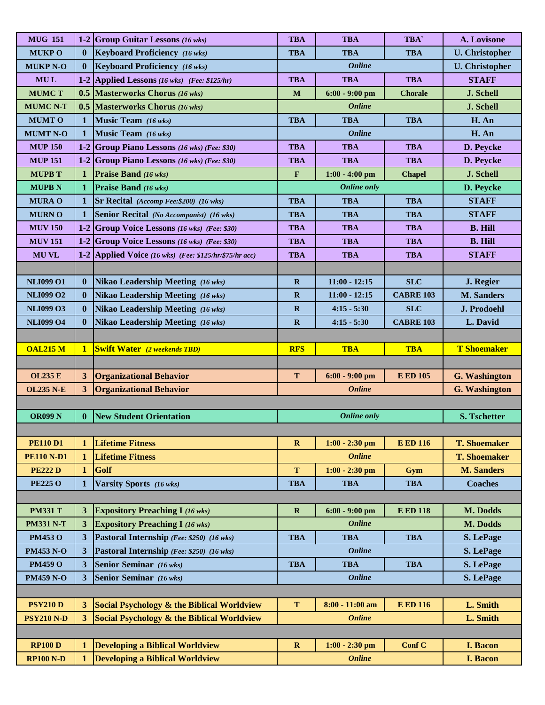| <b>Keyboard Proficiency</b> (16 wks)<br><b>U.</b> Christopher<br><b>MUKPO</b><br>$\bf{0}$<br><b>TBA</b><br><b>TBA</b><br><b>TBA</b><br><b>Online</b><br><b>MUKP N-O</b><br><b>Keyboard Proficiency</b> (16 wks)<br><b>U.</b> Christopher<br>$\bf{0}$<br>MUL<br>1-2 Applied Lessons (16 wks) (Fee: \$125/hr)<br><b>TBA</b><br><b>TBA</b><br><b>TBA</b><br><b>STAFF</b><br>0.5 Masterworks Chorus (16 wks)<br>J. Schell<br><b>MUMCT</b><br>$\mathbf{M}$<br>$6:00 - 9:00$ pm<br><b>Chorale</b><br><b>Online</b><br><b>MUMC N-T</b><br>0.5 Masterworks Chorus $(16 \text{ wks})$<br>J. Schell<br><b>MUMTO</b><br>Music Team (16 wks)<br><b>TBA</b><br><b>TBA</b><br><b>TBA</b><br>H. An<br>$\mathbf{1}$<br>Music Team (16 wks)<br><b>Online</b><br>H. An<br><b>MUMT N-O</b><br>$\mathbf{1}$<br>1-2 Group Piano Lessons (16 wks) (Fee: \$30)<br><b>MUP 150</b><br><b>TBA</b><br><b>TBA</b><br><b>TBA</b><br>D. Peycke<br><b>MUP 151</b><br>1-2 Group Piano Lessons (16 wks) (Fee: \$30)<br><b>TBA</b><br>D. Peycke<br><b>TBA</b><br><b>TBA</b><br>J. Schell<br><b>MUPB T</b><br><b>Praise Band</b> (16 wks)<br>$1:00 - 4:00$ pm<br>$\mathbf{1}$<br>$\mathbf F$<br><b>Chapel</b><br><b>Online only</b><br><b>MUPBN</b><br>$\mathbf{1}$<br><b>Praise Band</b> (16 wks)<br>D. Peycke<br><b>TBA</b><br><b>STAFF</b><br><b>MURA O</b><br><b>TBA</b><br><b>TBA</b><br>$\mathbf 1$<br>Sr Recital (Accomp Fee: \$200) (16 wks)<br><b>MURNO</b><br>Senior Recital (No Accompanist) (16 wks)<br><b>TBA</b><br><b>TBA</b><br><b>TBA</b><br><b>STAFF</b><br>1<br><b>MUV 150</b><br>1-2 Group Voice Lessons (16 wks) (Fee: \$30)<br><b>TBA</b><br><b>TBA</b><br><b>TBA</b><br><b>B. Hill</b><br><b>MUV 151</b><br><b>TBA</b><br>1-2 Group Voice Lessons (16 wks) (Fee: \$30)<br><b>TBA</b><br><b>TBA</b><br><b>B. Hill</b><br><b>STAFF</b><br><b>MUVL</b><br>1-2 Applied Voice (16 wks) (Fee: \$125/hr/\$75/hr acc)<br><b>TBA</b><br><b>TBA</b><br><b>TBA</b><br><b>NLI099 O1</b><br><b>SLC</b><br>$\mathbf{0}$<br>Nikao Leadership Meeting (16 wks)<br>$\mathbf{R}$<br>$11:00 - 12:15$<br>J. Regier<br><b>Nikao Leadership Meeting (16 wks)</b><br><b>M.</b> Sanders<br><b>NLI099 O2</b><br>$\mathbf{0}$<br>$11:00 - 12:15$<br>$\mathbf R$<br><b>CABRE 103</b><br><b>NLI099 O3</b><br>$\mathbf{0}$<br>Nikao Leadership Meeting (16 wks)<br>$\mathbf R$<br>$4:15 - 5:30$<br><b>SLC</b><br>J. Prodoehl<br><b>NLI099 O4</b><br><b>Nikao Leadership Meeting (16 wks)</b><br>$\mathbf R$<br>$4:15 - 5:30$<br>L. David<br><b>CABRE 103</b><br>$\bf{0}$<br><b>T</b> Shoemaker<br><b>OAL215 M</b><br><b>RFS</b><br><b>TBA</b><br><b>TBA</b><br>$\mathbf{1}$<br><b>Swift Water</b> (2 weekends TBD)<br><b>Organizational Behavior</b><br><b>OL235 E</b><br>$3^{\circ}$<br>T<br>$6:00 - 9:00$ pm<br><b>E ED 105</b><br><b>G.</b> Washington<br><b>Online</b><br><b>OL235 N-E</b><br>3 <sup>1</sup><br><b>Organizational Behavior</b><br><b>G.</b> Washington<br><b>OR099 N</b><br>$\bf{0}$<br><b>New Student Orientation</b><br><b>Online only</b><br><b>S. Tschetter</b><br><b>PE110 D1</b><br><b>Lifetime Fitness</b><br>$1:00 - 2:30$ pm<br><b>T. Shoemaker</b><br>$\mathbf{1}$<br>$\mathbf{R}$<br><b>E ED 116</b><br><b>Online</b><br><b>Lifetime Fitness</b><br><b>T. Shoemaker</b><br><b>PE110 N-D1</b><br>$\mathbf 1$<br>Golf<br>$\mathbf T$<br><b>M. Sanders</b><br><b>PE222 D</b><br>$\mathbf{1}$<br>$1:00 - 2:30$ pm<br>Gym<br><b>PE225 O</b><br>Varsity Sports (16 wks)<br><b>TBA</b><br><b>Coaches</b><br><b>TBA</b><br><b>TBA</b><br>$\mathbf{1}$<br><b>PM331 T</b><br><b>E ED 118</b><br>3<br><b>Expository Preaching I (16 wks)</b><br>$\mathbf{R}$<br>$6:00 - 9:00$ pm<br>M. Dodds<br>$\overline{\mathbf{3}}$<br><b>Expository Preaching I (16 wks)</b><br><b>Online</b><br>M. Dodds<br><b>PM331 N-T</b><br>Pastoral Internship (Fee: \$250) (16 wks)<br><b>PM453 O</b><br>3 <sup>1</sup><br><b>TBA</b><br><b>TBA</b><br><b>TBA</b><br>S. LePage<br><b>Online</b><br>3<br>Pastoral Internship (Fee: \$250) (16 wks)<br><b>PM453 N-O</b><br>S. LePage<br><b>PM459 O</b><br>3 <sup>1</sup><br><b>TBA</b><br><b>TBA</b><br><b>TBA</b><br><b>Senior Seminar</b> (16 wks)<br>S. LePage<br><b>Online</b><br><b>PM459 N-O</b><br>3 <sup>1</sup><br><b>Senior Seminar</b> (16 wks)<br>S. LePage<br><b>PSY210 D</b><br>Social Psychology & the Biblical Worldview<br>L. Smith<br>3 <sup>1</sup><br>T<br>$8:00 - 11:00$ am<br><b>E ED 116</b><br>Social Psychology & the Biblical Worldview<br><b>PSY210 N-D</b><br>3 <sup>1</sup><br><b>Online</b><br>L. Smith<br><b>RP100 D</b><br><b>Developing a Biblical Worldview</b><br>$1:00 - 2:30$ pm<br>Conf C<br><b>I. Bacon</b><br>$\mathbf R$<br>$\mathbf{1}$ | <b>MUG 151</b> | 1-2 Group Guitar Lessons $(16 \text{ wks})$ | <b>TBA</b> | <b>TBA</b> | TBA` | A. Lovisone |
|----------------------------------------------------------------------------------------------------------------------------------------------------------------------------------------------------------------------------------------------------------------------------------------------------------------------------------------------------------------------------------------------------------------------------------------------------------------------------------------------------------------------------------------------------------------------------------------------------------------------------------------------------------------------------------------------------------------------------------------------------------------------------------------------------------------------------------------------------------------------------------------------------------------------------------------------------------------------------------------------------------------------------------------------------------------------------------------------------------------------------------------------------------------------------------------------------------------------------------------------------------------------------------------------------------------------------------------------------------------------------------------------------------------------------------------------------------------------------------------------------------------------------------------------------------------------------------------------------------------------------------------------------------------------------------------------------------------------------------------------------------------------------------------------------------------------------------------------------------------------------------------------------------------------------------------------------------------------------------------------------------------------------------------------------------------------------------------------------------------------------------------------------------------------------------------------------------------------------------------------------------------------------------------------------------------------------------------------------------------------------------------------------------------------------------------------------------------------------------------------------------------------------------------------------------------------------------------------------------------------------------------------------------------------------------------------------------------------------------------------------------------------------------------------------------------------------------------------------------------------------------------------------------------------------------------------------------------------------------------------------------------------------------------------------------------------------------------------------------------------------------------------------------------------------------------------------------------------------------------------------------------------------------------------------------------------------------------------------------------------------------------------------------------------------------------------------------------------------------------------------------------------------------------------------------------------------------------------------------------------------------------------------------------------------------------------------------------------------------------------------------------------------------------------------------------------------------------------------------------------------------------------------------------------------------------------------------------------------------------------------------------------------------------------------------------------------------------------------------------------------------------------------------------------------------------------------------------------------------------------------------------------------------------------------------------------------------------------------------------------------------------------------------------------------------------------------------------------------------------------------------------------------------------------------------------------------------------------------------------------------------------------------------------------------------------|----------------|---------------------------------------------|------------|------------|------|-------------|
|                                                                                                                                                                                                                                                                                                                                                                                                                                                                                                                                                                                                                                                                                                                                                                                                                                                                                                                                                                                                                                                                                                                                                                                                                                                                                                                                                                                                                                                                                                                                                                                                                                                                                                                                                                                                                                                                                                                                                                                                                                                                                                                                                                                                                                                                                                                                                                                                                                                                                                                                                                                                                                                                                                                                                                                                                                                                                                                                                                                                                                                                                                                                                                                                                                                                                                                                                                                                                                                                                                                                                                                                                                                                                                                                                                                                                                                                                                                                                                                                                                                                                                                                                                                                                                                                                                                                                                                                                                                                                                                                                                                                                                                                                        |                |                                             |            |            |      |             |
|                                                                                                                                                                                                                                                                                                                                                                                                                                                                                                                                                                                                                                                                                                                                                                                                                                                                                                                                                                                                                                                                                                                                                                                                                                                                                                                                                                                                                                                                                                                                                                                                                                                                                                                                                                                                                                                                                                                                                                                                                                                                                                                                                                                                                                                                                                                                                                                                                                                                                                                                                                                                                                                                                                                                                                                                                                                                                                                                                                                                                                                                                                                                                                                                                                                                                                                                                                                                                                                                                                                                                                                                                                                                                                                                                                                                                                                                                                                                                                                                                                                                                                                                                                                                                                                                                                                                                                                                                                                                                                                                                                                                                                                                                        |                |                                             |            |            |      |             |
|                                                                                                                                                                                                                                                                                                                                                                                                                                                                                                                                                                                                                                                                                                                                                                                                                                                                                                                                                                                                                                                                                                                                                                                                                                                                                                                                                                                                                                                                                                                                                                                                                                                                                                                                                                                                                                                                                                                                                                                                                                                                                                                                                                                                                                                                                                                                                                                                                                                                                                                                                                                                                                                                                                                                                                                                                                                                                                                                                                                                                                                                                                                                                                                                                                                                                                                                                                                                                                                                                                                                                                                                                                                                                                                                                                                                                                                                                                                                                                                                                                                                                                                                                                                                                                                                                                                                                                                                                                                                                                                                                                                                                                                                                        |                |                                             |            |            |      |             |
|                                                                                                                                                                                                                                                                                                                                                                                                                                                                                                                                                                                                                                                                                                                                                                                                                                                                                                                                                                                                                                                                                                                                                                                                                                                                                                                                                                                                                                                                                                                                                                                                                                                                                                                                                                                                                                                                                                                                                                                                                                                                                                                                                                                                                                                                                                                                                                                                                                                                                                                                                                                                                                                                                                                                                                                                                                                                                                                                                                                                                                                                                                                                                                                                                                                                                                                                                                                                                                                                                                                                                                                                                                                                                                                                                                                                                                                                                                                                                                                                                                                                                                                                                                                                                                                                                                                                                                                                                                                                                                                                                                                                                                                                                        |                |                                             |            |            |      |             |
|                                                                                                                                                                                                                                                                                                                                                                                                                                                                                                                                                                                                                                                                                                                                                                                                                                                                                                                                                                                                                                                                                                                                                                                                                                                                                                                                                                                                                                                                                                                                                                                                                                                                                                                                                                                                                                                                                                                                                                                                                                                                                                                                                                                                                                                                                                                                                                                                                                                                                                                                                                                                                                                                                                                                                                                                                                                                                                                                                                                                                                                                                                                                                                                                                                                                                                                                                                                                                                                                                                                                                                                                                                                                                                                                                                                                                                                                                                                                                                                                                                                                                                                                                                                                                                                                                                                                                                                                                                                                                                                                                                                                                                                                                        |                |                                             |            |            |      |             |
|                                                                                                                                                                                                                                                                                                                                                                                                                                                                                                                                                                                                                                                                                                                                                                                                                                                                                                                                                                                                                                                                                                                                                                                                                                                                                                                                                                                                                                                                                                                                                                                                                                                                                                                                                                                                                                                                                                                                                                                                                                                                                                                                                                                                                                                                                                                                                                                                                                                                                                                                                                                                                                                                                                                                                                                                                                                                                                                                                                                                                                                                                                                                                                                                                                                                                                                                                                                                                                                                                                                                                                                                                                                                                                                                                                                                                                                                                                                                                                                                                                                                                                                                                                                                                                                                                                                                                                                                                                                                                                                                                                                                                                                                                        |                |                                             |            |            |      |             |
|                                                                                                                                                                                                                                                                                                                                                                                                                                                                                                                                                                                                                                                                                                                                                                                                                                                                                                                                                                                                                                                                                                                                                                                                                                                                                                                                                                                                                                                                                                                                                                                                                                                                                                                                                                                                                                                                                                                                                                                                                                                                                                                                                                                                                                                                                                                                                                                                                                                                                                                                                                                                                                                                                                                                                                                                                                                                                                                                                                                                                                                                                                                                                                                                                                                                                                                                                                                                                                                                                                                                                                                                                                                                                                                                                                                                                                                                                                                                                                                                                                                                                                                                                                                                                                                                                                                                                                                                                                                                                                                                                                                                                                                                                        |                |                                             |            |            |      |             |
|                                                                                                                                                                                                                                                                                                                                                                                                                                                                                                                                                                                                                                                                                                                                                                                                                                                                                                                                                                                                                                                                                                                                                                                                                                                                                                                                                                                                                                                                                                                                                                                                                                                                                                                                                                                                                                                                                                                                                                                                                                                                                                                                                                                                                                                                                                                                                                                                                                                                                                                                                                                                                                                                                                                                                                                                                                                                                                                                                                                                                                                                                                                                                                                                                                                                                                                                                                                                                                                                                                                                                                                                                                                                                                                                                                                                                                                                                                                                                                                                                                                                                                                                                                                                                                                                                                                                                                                                                                                                                                                                                                                                                                                                                        |                |                                             |            |            |      |             |
|                                                                                                                                                                                                                                                                                                                                                                                                                                                                                                                                                                                                                                                                                                                                                                                                                                                                                                                                                                                                                                                                                                                                                                                                                                                                                                                                                                                                                                                                                                                                                                                                                                                                                                                                                                                                                                                                                                                                                                                                                                                                                                                                                                                                                                                                                                                                                                                                                                                                                                                                                                                                                                                                                                                                                                                                                                                                                                                                                                                                                                                                                                                                                                                                                                                                                                                                                                                                                                                                                                                                                                                                                                                                                                                                                                                                                                                                                                                                                                                                                                                                                                                                                                                                                                                                                                                                                                                                                                                                                                                                                                                                                                                                                        |                |                                             |            |            |      |             |
|                                                                                                                                                                                                                                                                                                                                                                                                                                                                                                                                                                                                                                                                                                                                                                                                                                                                                                                                                                                                                                                                                                                                                                                                                                                                                                                                                                                                                                                                                                                                                                                                                                                                                                                                                                                                                                                                                                                                                                                                                                                                                                                                                                                                                                                                                                                                                                                                                                                                                                                                                                                                                                                                                                                                                                                                                                                                                                                                                                                                                                                                                                                                                                                                                                                                                                                                                                                                                                                                                                                                                                                                                                                                                                                                                                                                                                                                                                                                                                                                                                                                                                                                                                                                                                                                                                                                                                                                                                                                                                                                                                                                                                                                                        |                |                                             |            |            |      |             |
|                                                                                                                                                                                                                                                                                                                                                                                                                                                                                                                                                                                                                                                                                                                                                                                                                                                                                                                                                                                                                                                                                                                                                                                                                                                                                                                                                                                                                                                                                                                                                                                                                                                                                                                                                                                                                                                                                                                                                                                                                                                                                                                                                                                                                                                                                                                                                                                                                                                                                                                                                                                                                                                                                                                                                                                                                                                                                                                                                                                                                                                                                                                                                                                                                                                                                                                                                                                                                                                                                                                                                                                                                                                                                                                                                                                                                                                                                                                                                                                                                                                                                                                                                                                                                                                                                                                                                                                                                                                                                                                                                                                                                                                                                        |                |                                             |            |            |      |             |
|                                                                                                                                                                                                                                                                                                                                                                                                                                                                                                                                                                                                                                                                                                                                                                                                                                                                                                                                                                                                                                                                                                                                                                                                                                                                                                                                                                                                                                                                                                                                                                                                                                                                                                                                                                                                                                                                                                                                                                                                                                                                                                                                                                                                                                                                                                                                                                                                                                                                                                                                                                                                                                                                                                                                                                                                                                                                                                                                                                                                                                                                                                                                                                                                                                                                                                                                                                                                                                                                                                                                                                                                                                                                                                                                                                                                                                                                                                                                                                                                                                                                                                                                                                                                                                                                                                                                                                                                                                                                                                                                                                                                                                                                                        |                |                                             |            |            |      |             |
|                                                                                                                                                                                                                                                                                                                                                                                                                                                                                                                                                                                                                                                                                                                                                                                                                                                                                                                                                                                                                                                                                                                                                                                                                                                                                                                                                                                                                                                                                                                                                                                                                                                                                                                                                                                                                                                                                                                                                                                                                                                                                                                                                                                                                                                                                                                                                                                                                                                                                                                                                                                                                                                                                                                                                                                                                                                                                                                                                                                                                                                                                                                                                                                                                                                                                                                                                                                                                                                                                                                                                                                                                                                                                                                                                                                                                                                                                                                                                                                                                                                                                                                                                                                                                                                                                                                                                                                                                                                                                                                                                                                                                                                                                        |                |                                             |            |            |      |             |
|                                                                                                                                                                                                                                                                                                                                                                                                                                                                                                                                                                                                                                                                                                                                                                                                                                                                                                                                                                                                                                                                                                                                                                                                                                                                                                                                                                                                                                                                                                                                                                                                                                                                                                                                                                                                                                                                                                                                                                                                                                                                                                                                                                                                                                                                                                                                                                                                                                                                                                                                                                                                                                                                                                                                                                                                                                                                                                                                                                                                                                                                                                                                                                                                                                                                                                                                                                                                                                                                                                                                                                                                                                                                                                                                                                                                                                                                                                                                                                                                                                                                                                                                                                                                                                                                                                                                                                                                                                                                                                                                                                                                                                                                                        |                |                                             |            |            |      |             |
|                                                                                                                                                                                                                                                                                                                                                                                                                                                                                                                                                                                                                                                                                                                                                                                                                                                                                                                                                                                                                                                                                                                                                                                                                                                                                                                                                                                                                                                                                                                                                                                                                                                                                                                                                                                                                                                                                                                                                                                                                                                                                                                                                                                                                                                                                                                                                                                                                                                                                                                                                                                                                                                                                                                                                                                                                                                                                                                                                                                                                                                                                                                                                                                                                                                                                                                                                                                                                                                                                                                                                                                                                                                                                                                                                                                                                                                                                                                                                                                                                                                                                                                                                                                                                                                                                                                                                                                                                                                                                                                                                                                                                                                                                        |                |                                             |            |            |      |             |
|                                                                                                                                                                                                                                                                                                                                                                                                                                                                                                                                                                                                                                                                                                                                                                                                                                                                                                                                                                                                                                                                                                                                                                                                                                                                                                                                                                                                                                                                                                                                                                                                                                                                                                                                                                                                                                                                                                                                                                                                                                                                                                                                                                                                                                                                                                                                                                                                                                                                                                                                                                                                                                                                                                                                                                                                                                                                                                                                                                                                                                                                                                                                                                                                                                                                                                                                                                                                                                                                                                                                                                                                                                                                                                                                                                                                                                                                                                                                                                                                                                                                                                                                                                                                                                                                                                                                                                                                                                                                                                                                                                                                                                                                                        |                |                                             |            |            |      |             |
|                                                                                                                                                                                                                                                                                                                                                                                                                                                                                                                                                                                                                                                                                                                                                                                                                                                                                                                                                                                                                                                                                                                                                                                                                                                                                                                                                                                                                                                                                                                                                                                                                                                                                                                                                                                                                                                                                                                                                                                                                                                                                                                                                                                                                                                                                                                                                                                                                                                                                                                                                                                                                                                                                                                                                                                                                                                                                                                                                                                                                                                                                                                                                                                                                                                                                                                                                                                                                                                                                                                                                                                                                                                                                                                                                                                                                                                                                                                                                                                                                                                                                                                                                                                                                                                                                                                                                                                                                                                                                                                                                                                                                                                                                        |                |                                             |            |            |      |             |
|                                                                                                                                                                                                                                                                                                                                                                                                                                                                                                                                                                                                                                                                                                                                                                                                                                                                                                                                                                                                                                                                                                                                                                                                                                                                                                                                                                                                                                                                                                                                                                                                                                                                                                                                                                                                                                                                                                                                                                                                                                                                                                                                                                                                                                                                                                                                                                                                                                                                                                                                                                                                                                                                                                                                                                                                                                                                                                                                                                                                                                                                                                                                                                                                                                                                                                                                                                                                                                                                                                                                                                                                                                                                                                                                                                                                                                                                                                                                                                                                                                                                                                                                                                                                                                                                                                                                                                                                                                                                                                                                                                                                                                                                                        |                |                                             |            |            |      |             |
|                                                                                                                                                                                                                                                                                                                                                                                                                                                                                                                                                                                                                                                                                                                                                                                                                                                                                                                                                                                                                                                                                                                                                                                                                                                                                                                                                                                                                                                                                                                                                                                                                                                                                                                                                                                                                                                                                                                                                                                                                                                                                                                                                                                                                                                                                                                                                                                                                                                                                                                                                                                                                                                                                                                                                                                                                                                                                                                                                                                                                                                                                                                                                                                                                                                                                                                                                                                                                                                                                                                                                                                                                                                                                                                                                                                                                                                                                                                                                                                                                                                                                                                                                                                                                                                                                                                                                                                                                                                                                                                                                                                                                                                                                        |                |                                             |            |            |      |             |
|                                                                                                                                                                                                                                                                                                                                                                                                                                                                                                                                                                                                                                                                                                                                                                                                                                                                                                                                                                                                                                                                                                                                                                                                                                                                                                                                                                                                                                                                                                                                                                                                                                                                                                                                                                                                                                                                                                                                                                                                                                                                                                                                                                                                                                                                                                                                                                                                                                                                                                                                                                                                                                                                                                                                                                                                                                                                                                                                                                                                                                                                                                                                                                                                                                                                                                                                                                                                                                                                                                                                                                                                                                                                                                                                                                                                                                                                                                                                                                                                                                                                                                                                                                                                                                                                                                                                                                                                                                                                                                                                                                                                                                                                                        |                |                                             |            |            |      |             |
|                                                                                                                                                                                                                                                                                                                                                                                                                                                                                                                                                                                                                                                                                                                                                                                                                                                                                                                                                                                                                                                                                                                                                                                                                                                                                                                                                                                                                                                                                                                                                                                                                                                                                                                                                                                                                                                                                                                                                                                                                                                                                                                                                                                                                                                                                                                                                                                                                                                                                                                                                                                                                                                                                                                                                                                                                                                                                                                                                                                                                                                                                                                                                                                                                                                                                                                                                                                                                                                                                                                                                                                                                                                                                                                                                                                                                                                                                                                                                                                                                                                                                                                                                                                                                                                                                                                                                                                                                                                                                                                                                                                                                                                                                        |                |                                             |            |            |      |             |
|                                                                                                                                                                                                                                                                                                                                                                                                                                                                                                                                                                                                                                                                                                                                                                                                                                                                                                                                                                                                                                                                                                                                                                                                                                                                                                                                                                                                                                                                                                                                                                                                                                                                                                                                                                                                                                                                                                                                                                                                                                                                                                                                                                                                                                                                                                                                                                                                                                                                                                                                                                                                                                                                                                                                                                                                                                                                                                                                                                                                                                                                                                                                                                                                                                                                                                                                                                                                                                                                                                                                                                                                                                                                                                                                                                                                                                                                                                                                                                                                                                                                                                                                                                                                                                                                                                                                                                                                                                                                                                                                                                                                                                                                                        |                |                                             |            |            |      |             |
|                                                                                                                                                                                                                                                                                                                                                                                                                                                                                                                                                                                                                                                                                                                                                                                                                                                                                                                                                                                                                                                                                                                                                                                                                                                                                                                                                                                                                                                                                                                                                                                                                                                                                                                                                                                                                                                                                                                                                                                                                                                                                                                                                                                                                                                                                                                                                                                                                                                                                                                                                                                                                                                                                                                                                                                                                                                                                                                                                                                                                                                                                                                                                                                                                                                                                                                                                                                                                                                                                                                                                                                                                                                                                                                                                                                                                                                                                                                                                                                                                                                                                                                                                                                                                                                                                                                                                                                                                                                                                                                                                                                                                                                                                        |                |                                             |            |            |      |             |
|                                                                                                                                                                                                                                                                                                                                                                                                                                                                                                                                                                                                                                                                                                                                                                                                                                                                                                                                                                                                                                                                                                                                                                                                                                                                                                                                                                                                                                                                                                                                                                                                                                                                                                                                                                                                                                                                                                                                                                                                                                                                                                                                                                                                                                                                                                                                                                                                                                                                                                                                                                                                                                                                                                                                                                                                                                                                                                                                                                                                                                                                                                                                                                                                                                                                                                                                                                                                                                                                                                                                                                                                                                                                                                                                                                                                                                                                                                                                                                                                                                                                                                                                                                                                                                                                                                                                                                                                                                                                                                                                                                                                                                                                                        |                |                                             |            |            |      |             |
|                                                                                                                                                                                                                                                                                                                                                                                                                                                                                                                                                                                                                                                                                                                                                                                                                                                                                                                                                                                                                                                                                                                                                                                                                                                                                                                                                                                                                                                                                                                                                                                                                                                                                                                                                                                                                                                                                                                                                                                                                                                                                                                                                                                                                                                                                                                                                                                                                                                                                                                                                                                                                                                                                                                                                                                                                                                                                                                                                                                                                                                                                                                                                                                                                                                                                                                                                                                                                                                                                                                                                                                                                                                                                                                                                                                                                                                                                                                                                                                                                                                                                                                                                                                                                                                                                                                                                                                                                                                                                                                                                                                                                                                                                        |                |                                             |            |            |      |             |
|                                                                                                                                                                                                                                                                                                                                                                                                                                                                                                                                                                                                                                                                                                                                                                                                                                                                                                                                                                                                                                                                                                                                                                                                                                                                                                                                                                                                                                                                                                                                                                                                                                                                                                                                                                                                                                                                                                                                                                                                                                                                                                                                                                                                                                                                                                                                                                                                                                                                                                                                                                                                                                                                                                                                                                                                                                                                                                                                                                                                                                                                                                                                                                                                                                                                                                                                                                                                                                                                                                                                                                                                                                                                                                                                                                                                                                                                                                                                                                                                                                                                                                                                                                                                                                                                                                                                                                                                                                                                                                                                                                                                                                                                                        |                |                                             |            |            |      |             |
|                                                                                                                                                                                                                                                                                                                                                                                                                                                                                                                                                                                                                                                                                                                                                                                                                                                                                                                                                                                                                                                                                                                                                                                                                                                                                                                                                                                                                                                                                                                                                                                                                                                                                                                                                                                                                                                                                                                                                                                                                                                                                                                                                                                                                                                                                                                                                                                                                                                                                                                                                                                                                                                                                                                                                                                                                                                                                                                                                                                                                                                                                                                                                                                                                                                                                                                                                                                                                                                                                                                                                                                                                                                                                                                                                                                                                                                                                                                                                                                                                                                                                                                                                                                                                                                                                                                                                                                                                                                                                                                                                                                                                                                                                        |                |                                             |            |            |      |             |
|                                                                                                                                                                                                                                                                                                                                                                                                                                                                                                                                                                                                                                                                                                                                                                                                                                                                                                                                                                                                                                                                                                                                                                                                                                                                                                                                                                                                                                                                                                                                                                                                                                                                                                                                                                                                                                                                                                                                                                                                                                                                                                                                                                                                                                                                                                                                                                                                                                                                                                                                                                                                                                                                                                                                                                                                                                                                                                                                                                                                                                                                                                                                                                                                                                                                                                                                                                                                                                                                                                                                                                                                                                                                                                                                                                                                                                                                                                                                                                                                                                                                                                                                                                                                                                                                                                                                                                                                                                                                                                                                                                                                                                                                                        |                |                                             |            |            |      |             |
|                                                                                                                                                                                                                                                                                                                                                                                                                                                                                                                                                                                                                                                                                                                                                                                                                                                                                                                                                                                                                                                                                                                                                                                                                                                                                                                                                                                                                                                                                                                                                                                                                                                                                                                                                                                                                                                                                                                                                                                                                                                                                                                                                                                                                                                                                                                                                                                                                                                                                                                                                                                                                                                                                                                                                                                                                                                                                                                                                                                                                                                                                                                                                                                                                                                                                                                                                                                                                                                                                                                                                                                                                                                                                                                                                                                                                                                                                                                                                                                                                                                                                                                                                                                                                                                                                                                                                                                                                                                                                                                                                                                                                                                                                        |                |                                             |            |            |      |             |
|                                                                                                                                                                                                                                                                                                                                                                                                                                                                                                                                                                                                                                                                                                                                                                                                                                                                                                                                                                                                                                                                                                                                                                                                                                                                                                                                                                                                                                                                                                                                                                                                                                                                                                                                                                                                                                                                                                                                                                                                                                                                                                                                                                                                                                                                                                                                                                                                                                                                                                                                                                                                                                                                                                                                                                                                                                                                                                                                                                                                                                                                                                                                                                                                                                                                                                                                                                                                                                                                                                                                                                                                                                                                                                                                                                                                                                                                                                                                                                                                                                                                                                                                                                                                                                                                                                                                                                                                                                                                                                                                                                                                                                                                                        |                |                                             |            |            |      |             |
|                                                                                                                                                                                                                                                                                                                                                                                                                                                                                                                                                                                                                                                                                                                                                                                                                                                                                                                                                                                                                                                                                                                                                                                                                                                                                                                                                                                                                                                                                                                                                                                                                                                                                                                                                                                                                                                                                                                                                                                                                                                                                                                                                                                                                                                                                                                                                                                                                                                                                                                                                                                                                                                                                                                                                                                                                                                                                                                                                                                                                                                                                                                                                                                                                                                                                                                                                                                                                                                                                                                                                                                                                                                                                                                                                                                                                                                                                                                                                                                                                                                                                                                                                                                                                                                                                                                                                                                                                                                                                                                                                                                                                                                                                        |                |                                             |            |            |      |             |
|                                                                                                                                                                                                                                                                                                                                                                                                                                                                                                                                                                                                                                                                                                                                                                                                                                                                                                                                                                                                                                                                                                                                                                                                                                                                                                                                                                                                                                                                                                                                                                                                                                                                                                                                                                                                                                                                                                                                                                                                                                                                                                                                                                                                                                                                                                                                                                                                                                                                                                                                                                                                                                                                                                                                                                                                                                                                                                                                                                                                                                                                                                                                                                                                                                                                                                                                                                                                                                                                                                                                                                                                                                                                                                                                                                                                                                                                                                                                                                                                                                                                                                                                                                                                                                                                                                                                                                                                                                                                                                                                                                                                                                                                                        |                |                                             |            |            |      |             |
|                                                                                                                                                                                                                                                                                                                                                                                                                                                                                                                                                                                                                                                                                                                                                                                                                                                                                                                                                                                                                                                                                                                                                                                                                                                                                                                                                                                                                                                                                                                                                                                                                                                                                                                                                                                                                                                                                                                                                                                                                                                                                                                                                                                                                                                                                                                                                                                                                                                                                                                                                                                                                                                                                                                                                                                                                                                                                                                                                                                                                                                                                                                                                                                                                                                                                                                                                                                                                                                                                                                                                                                                                                                                                                                                                                                                                                                                                                                                                                                                                                                                                                                                                                                                                                                                                                                                                                                                                                                                                                                                                                                                                                                                                        |                |                                             |            |            |      |             |
|                                                                                                                                                                                                                                                                                                                                                                                                                                                                                                                                                                                                                                                                                                                                                                                                                                                                                                                                                                                                                                                                                                                                                                                                                                                                                                                                                                                                                                                                                                                                                                                                                                                                                                                                                                                                                                                                                                                                                                                                                                                                                                                                                                                                                                                                                                                                                                                                                                                                                                                                                                                                                                                                                                                                                                                                                                                                                                                                                                                                                                                                                                                                                                                                                                                                                                                                                                                                                                                                                                                                                                                                                                                                                                                                                                                                                                                                                                                                                                                                                                                                                                                                                                                                                                                                                                                                                                                                                                                                                                                                                                                                                                                                                        |                |                                             |            |            |      |             |
|                                                                                                                                                                                                                                                                                                                                                                                                                                                                                                                                                                                                                                                                                                                                                                                                                                                                                                                                                                                                                                                                                                                                                                                                                                                                                                                                                                                                                                                                                                                                                                                                                                                                                                                                                                                                                                                                                                                                                                                                                                                                                                                                                                                                                                                                                                                                                                                                                                                                                                                                                                                                                                                                                                                                                                                                                                                                                                                                                                                                                                                                                                                                                                                                                                                                                                                                                                                                                                                                                                                                                                                                                                                                                                                                                                                                                                                                                                                                                                                                                                                                                                                                                                                                                                                                                                                                                                                                                                                                                                                                                                                                                                                                                        |                |                                             |            |            |      |             |
|                                                                                                                                                                                                                                                                                                                                                                                                                                                                                                                                                                                                                                                                                                                                                                                                                                                                                                                                                                                                                                                                                                                                                                                                                                                                                                                                                                                                                                                                                                                                                                                                                                                                                                                                                                                                                                                                                                                                                                                                                                                                                                                                                                                                                                                                                                                                                                                                                                                                                                                                                                                                                                                                                                                                                                                                                                                                                                                                                                                                                                                                                                                                                                                                                                                                                                                                                                                                                                                                                                                                                                                                                                                                                                                                                                                                                                                                                                                                                                                                                                                                                                                                                                                                                                                                                                                                                                                                                                                                                                                                                                                                                                                                                        |                |                                             |            |            |      |             |
|                                                                                                                                                                                                                                                                                                                                                                                                                                                                                                                                                                                                                                                                                                                                                                                                                                                                                                                                                                                                                                                                                                                                                                                                                                                                                                                                                                                                                                                                                                                                                                                                                                                                                                                                                                                                                                                                                                                                                                                                                                                                                                                                                                                                                                                                                                                                                                                                                                                                                                                                                                                                                                                                                                                                                                                                                                                                                                                                                                                                                                                                                                                                                                                                                                                                                                                                                                                                                                                                                                                                                                                                                                                                                                                                                                                                                                                                                                                                                                                                                                                                                                                                                                                                                                                                                                                                                                                                                                                                                                                                                                                                                                                                                        |                |                                             |            |            |      |             |
|                                                                                                                                                                                                                                                                                                                                                                                                                                                                                                                                                                                                                                                                                                                                                                                                                                                                                                                                                                                                                                                                                                                                                                                                                                                                                                                                                                                                                                                                                                                                                                                                                                                                                                                                                                                                                                                                                                                                                                                                                                                                                                                                                                                                                                                                                                                                                                                                                                                                                                                                                                                                                                                                                                                                                                                                                                                                                                                                                                                                                                                                                                                                                                                                                                                                                                                                                                                                                                                                                                                                                                                                                                                                                                                                                                                                                                                                                                                                                                                                                                                                                                                                                                                                                                                                                                                                                                                                                                                                                                                                                                                                                                                                                        |                |                                             |            |            |      |             |
|                                                                                                                                                                                                                                                                                                                                                                                                                                                                                                                                                                                                                                                                                                                                                                                                                                                                                                                                                                                                                                                                                                                                                                                                                                                                                                                                                                                                                                                                                                                                                                                                                                                                                                                                                                                                                                                                                                                                                                                                                                                                                                                                                                                                                                                                                                                                                                                                                                                                                                                                                                                                                                                                                                                                                                                                                                                                                                                                                                                                                                                                                                                                                                                                                                                                                                                                                                                                                                                                                                                                                                                                                                                                                                                                                                                                                                                                                                                                                                                                                                                                                                                                                                                                                                                                                                                                                                                                                                                                                                                                                                                                                                                                                        |                |                                             |            |            |      |             |
|                                                                                                                                                                                                                                                                                                                                                                                                                                                                                                                                                                                                                                                                                                                                                                                                                                                                                                                                                                                                                                                                                                                                                                                                                                                                                                                                                                                                                                                                                                                                                                                                                                                                                                                                                                                                                                                                                                                                                                                                                                                                                                                                                                                                                                                                                                                                                                                                                                                                                                                                                                                                                                                                                                                                                                                                                                                                                                                                                                                                                                                                                                                                                                                                                                                                                                                                                                                                                                                                                                                                                                                                                                                                                                                                                                                                                                                                                                                                                                                                                                                                                                                                                                                                                                                                                                                                                                                                                                                                                                                                                                                                                                                                                        |                |                                             |            |            |      |             |
|                                                                                                                                                                                                                                                                                                                                                                                                                                                                                                                                                                                                                                                                                                                                                                                                                                                                                                                                                                                                                                                                                                                                                                                                                                                                                                                                                                                                                                                                                                                                                                                                                                                                                                                                                                                                                                                                                                                                                                                                                                                                                                                                                                                                                                                                                                                                                                                                                                                                                                                                                                                                                                                                                                                                                                                                                                                                                                                                                                                                                                                                                                                                                                                                                                                                                                                                                                                                                                                                                                                                                                                                                                                                                                                                                                                                                                                                                                                                                                                                                                                                                                                                                                                                                                                                                                                                                                                                                                                                                                                                                                                                                                                                                        |                |                                             |            |            |      |             |
|                                                                                                                                                                                                                                                                                                                                                                                                                                                                                                                                                                                                                                                                                                                                                                                                                                                                                                                                                                                                                                                                                                                                                                                                                                                                                                                                                                                                                                                                                                                                                                                                                                                                                                                                                                                                                                                                                                                                                                                                                                                                                                                                                                                                                                                                                                                                                                                                                                                                                                                                                                                                                                                                                                                                                                                                                                                                                                                                                                                                                                                                                                                                                                                                                                                                                                                                                                                                                                                                                                                                                                                                                                                                                                                                                                                                                                                                                                                                                                                                                                                                                                                                                                                                                                                                                                                                                                                                                                                                                                                                                                                                                                                                                        |                |                                             |            |            |      |             |
|                                                                                                                                                                                                                                                                                                                                                                                                                                                                                                                                                                                                                                                                                                                                                                                                                                                                                                                                                                                                                                                                                                                                                                                                                                                                                                                                                                                                                                                                                                                                                                                                                                                                                                                                                                                                                                                                                                                                                                                                                                                                                                                                                                                                                                                                                                                                                                                                                                                                                                                                                                                                                                                                                                                                                                                                                                                                                                                                                                                                                                                                                                                                                                                                                                                                                                                                                                                                                                                                                                                                                                                                                                                                                                                                                                                                                                                                                                                                                                                                                                                                                                                                                                                                                                                                                                                                                                                                                                                                                                                                                                                                                                                                                        |                |                                             |            |            |      |             |
|                                                                                                                                                                                                                                                                                                                                                                                                                                                                                                                                                                                                                                                                                                                                                                                                                                                                                                                                                                                                                                                                                                                                                                                                                                                                                                                                                                                                                                                                                                                                                                                                                                                                                                                                                                                                                                                                                                                                                                                                                                                                                                                                                                                                                                                                                                                                                                                                                                                                                                                                                                                                                                                                                                                                                                                                                                                                                                                                                                                                                                                                                                                                                                                                                                                                                                                                                                                                                                                                                                                                                                                                                                                                                                                                                                                                                                                                                                                                                                                                                                                                                                                                                                                                                                                                                                                                                                                                                                                                                                                                                                                                                                                                                        |                |                                             |            |            |      |             |
|                                                                                                                                                                                                                                                                                                                                                                                                                                                                                                                                                                                                                                                                                                                                                                                                                                                                                                                                                                                                                                                                                                                                                                                                                                                                                                                                                                                                                                                                                                                                                                                                                                                                                                                                                                                                                                                                                                                                                                                                                                                                                                                                                                                                                                                                                                                                                                                                                                                                                                                                                                                                                                                                                                                                                                                                                                                                                                                                                                                                                                                                                                                                                                                                                                                                                                                                                                                                                                                                                                                                                                                                                                                                                                                                                                                                                                                                                                                                                                                                                                                                                                                                                                                                                                                                                                                                                                                                                                                                                                                                                                                                                                                                                        |                |                                             |            |            |      |             |
| <b>RP100 N-D</b><br><b>Developing a Biblical Worldview</b><br><b>Online</b><br>I. Bacon<br>1                                                                                                                                                                                                                                                                                                                                                                                                                                                                                                                                                                                                                                                                                                                                                                                                                                                                                                                                                                                                                                                                                                                                                                                                                                                                                                                                                                                                                                                                                                                                                                                                                                                                                                                                                                                                                                                                                                                                                                                                                                                                                                                                                                                                                                                                                                                                                                                                                                                                                                                                                                                                                                                                                                                                                                                                                                                                                                                                                                                                                                                                                                                                                                                                                                                                                                                                                                                                                                                                                                                                                                                                                                                                                                                                                                                                                                                                                                                                                                                                                                                                                                                                                                                                                                                                                                                                                                                                                                                                                                                                                                                           |                |                                             |            |            |      |             |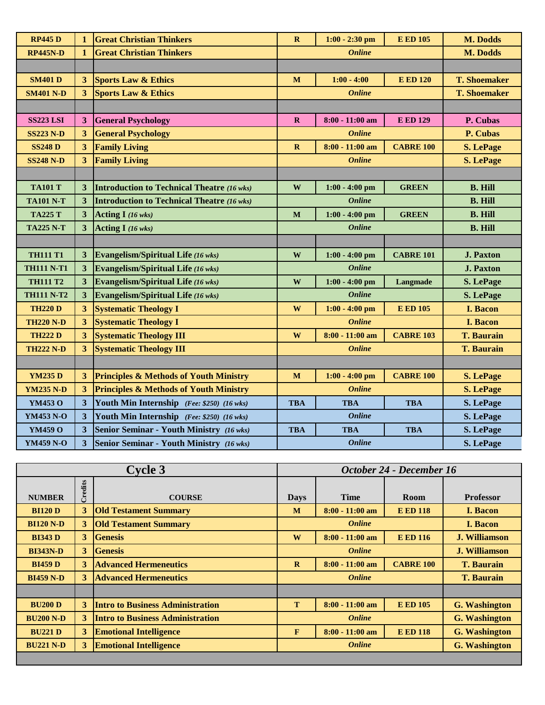| <b>RP445D</b>     | $\mathbf{1}$            | <b>Great Christian Thinkers</b>                   | $\mathbf R$   | $1:00 - 2:30$ pm  | <b>E ED 105</b>  | M. Dodds            |
|-------------------|-------------------------|---------------------------------------------------|---------------|-------------------|------------------|---------------------|
| <b>RP445N-D</b>   | $\mathbf{1}$            | <b>Great Christian Thinkers</b>                   | <b>Online</b> |                   |                  | M. Dodds            |
|                   |                         |                                                   |               |                   |                  |                     |
| <b>SM401 D</b>    | 3                       | <b>Sports Law &amp; Ethics</b>                    | M             | $1:00 - 4:00$     | <b>E ED 120</b>  | <b>T. Shoemaker</b> |
| <b>SM401 N-D</b>  | $\overline{\mathbf{3}}$ | <b>Sports Law &amp; Ethics</b>                    |               | <b>Online</b>     |                  | <b>T. Shoemaker</b> |
|                   |                         |                                                   |               |                   |                  |                     |
| <b>SS223 LSI</b>  | 3                       | <b>General Psychology</b>                         | $\mathbf R$   | 8:00 - 11:00 am   | <b>E ED 129</b>  | P. Cubas            |
| <b>SS223 N-D</b>  | 3 <sup>1</sup>          | <b>General Psychology</b>                         |               | <b>Online</b>     |                  | P. Cubas            |
| <b>SS248 D</b>    | $\overline{\mathbf{3}}$ | <b>Family Living</b>                              | $\mathbf R$   | $8:00 - 11:00$ am | <b>CABRE 100</b> | <b>S. LePage</b>    |
| <b>SS248 N-D</b>  | $\overline{3}$          | <b>Family Living</b>                              |               | <b>Online</b>     |                  | <b>S. LePage</b>    |
|                   |                         |                                                   |               |                   |                  |                     |
| <b>TA101 T</b>    | 3                       | <b>Introduction to Technical Theatre (16 wks)</b> | W             | $1:00 - 4:00$ pm  | <b>GREEN</b>     | <b>B. Hill</b>      |
| <b>TA101 N-T</b>  | $\mathbf{3}$            | <b>Introduction to Technical Theatre (16 wks)</b> |               | <b>Online</b>     |                  | <b>B. Hill</b>      |
| <b>TA225 T</b>    | $\overline{\mathbf{3}}$ | Acting I (16 wks)                                 | $\mathbf M$   | $1:00 - 4:00$ pm  | <b>GREEN</b>     | <b>B. Hill</b>      |
| <b>TA225 N-T</b>  | 3                       | Acting I (16 wks)                                 |               | <b>Online</b>     |                  | <b>B. Hill</b>      |
|                   |                         |                                                   |               |                   |                  |                     |
| <b>TH111 T1</b>   | $\mathbf{3}$            | <b>Evangelism/Spiritual Life (16 wks)</b>         | W             | $1:00 - 4:00$ pm  | <b>CABRE 101</b> | <b>J. Paxton</b>    |
| <b>TH111 N-T1</b> | $\mathbf{3}$            | <b>Evangelism/Spiritual Life (16 wks)</b>         |               | <b>Online</b>     |                  | <b>J. Paxton</b>    |
| <b>TH111 T2</b>   | $\overline{\mathbf{3}}$ | <b>Evangelism/Spiritual Life (16 wks)</b>         | W             | $1:00 - 4:00$ pm  | Langmade         | S. LePage           |
| <b>TH111 N-T2</b> | $\mathbf{3}$            | <b>Evangelism/Spiritual Life (16 wks)</b>         |               | <b>Online</b>     |                  | S. LePage           |
| <b>TH220 D</b>    | 3 <sup>1</sup>          | <b>Systematic Theology I</b>                      | $\mathbf{W}$  | $1:00 - 4:00$ pm  | <b>E ED 105</b>  | <b>I. Bacon</b>     |
| <b>TH220 N-D</b>  | $\overline{\mathbf{3}}$ | <b>Systematic Theology I</b>                      |               | <b>Online</b>     |                  | I. Bacon            |
| <b>TH222 D</b>    | $3\overline{)}$         | <b>Systematic Theology III</b>                    | W             | $8:00 - 11:00$ am | <b>CABRE 103</b> | <b>T. Baurain</b>   |
| <b>TH222 N-D</b>  | 3 <sup>1</sup>          | <b>Systematic Theology III</b>                    |               | <b>Online</b>     |                  | <b>T. Baurain</b>   |
|                   |                         |                                                   |               |                   |                  |                     |
| <b>YM235 D</b>    | 3 <sup>1</sup>          | <b>Principles &amp; Methods of Youth Ministry</b> | $\mathbf M$   | $1:00 - 4:00$ pm  | <b>CABRE 100</b> | <b>S. LePage</b>    |
| <b>YM235 N-D</b>  | $3\overline{)}$         | <b>Principles &amp; Methods of Youth Ministry</b> |               | <b>Online</b>     |                  | <b>S. LePage</b>    |
| YM453 O           | 3                       | Youth Min Internship (Fee: \$250) (16 wks)        | <b>TBA</b>    | <b>TBA</b>        | <b>TBA</b>       | S. LePage           |
| <b>YM453 N-O</b>  | 3                       | Youth Min Internship (Fee: \$250) (16 wks)        |               | <b>Online</b>     |                  | S. LePage           |
| YM459 O           | $\overline{\mathbf{3}}$ | <b>Senior Seminar - Youth Ministry</b> (16 wks)   | <b>TBA</b>    | <b>TBA</b>        | <b>TBA</b>       | S. LePage           |
| <b>YM459 N-O</b>  | $\overline{\mathbf{3}}$ | <b>Senior Seminar - Youth Ministry</b> (16 wks)   |               | <b>Online</b>     |                  | S. LePage           |

| <b>Cycle 3</b>   |         |                                         | October 24 - December 16              |                   |                  |                      |
|------------------|---------|-----------------------------------------|---------------------------------------|-------------------|------------------|----------------------|
|                  | Credits |                                         |                                       |                   |                  |                      |
| <b>NUMBER</b>    |         | <b>COURSE</b>                           | <b>Days</b>                           | <b>Time</b>       | Room             | <b>Professor</b>     |
| <b>BI120 D</b>   | 3       | <b>Old Testament Summary</b>            | M                                     | $8:00 - 11:00$ am | <b>E ED 118</b>  | I. Bacon             |
| <b>BI120 N-D</b> | 3       | <b>Old Testament Summary</b>            |                                       | <b>Online</b>     |                  | <b>I.</b> Bacon      |
| <b>BI343 D</b>   | 3       | <b>Genesis</b>                          | W                                     | $8:00 - 11:00$ am | <b>E ED 116</b>  | <b>J. Williamson</b> |
| <b>BI343N-D</b>  | 3       | <b>Genesis</b>                          | <b>Online</b>                         |                   |                  | <b>J. Williamson</b> |
| <b>BI459 D</b>   | 3       | <b>Advanced Hermeneutics</b>            | $\mathbf{R}$                          | $8:00 - 11:00$ am | <b>CABRE 100</b> | <b>T. Baurain</b>    |
| <b>BI459 N-D</b> | 3       | <b>Advanced Hermeneutics</b>            |                                       | <b>Online</b>     |                  | <b>T. Baurain</b>    |
|                  |         |                                         |                                       |                   |                  |                      |
| <b>BU200 D</b>   | 3       | <b>Intro to Business Administration</b> | T                                     | $8:00 - 11:00$ am | <b>E ED 105</b>  | <b>G. Washington</b> |
| <b>BU200 N-D</b> | 3       | <b>Intro to Business Administration</b> |                                       | <b>Online</b>     |                  | <b>G. Washington</b> |
| <b>BU221 D</b>   | 3       | <b>Emotional Intelligence</b>           | F                                     | $8:00 - 11:00$ am | <b>E ED 118</b>  | <b>G. Washington</b> |
| <b>BU221 N-D</b> | 3       | <b>Emotional Intelligence</b>           | <b>G.</b> Washington<br><b>Online</b> |                   |                  |                      |
|                  |         |                                         |                                       |                   |                  |                      |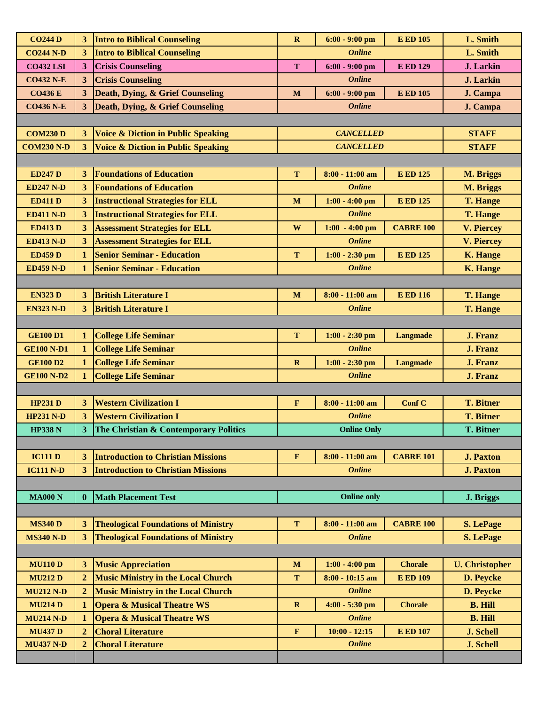| <b>CO244 D</b>    | 3 <sup>1</sup>          | <b>Intro to Biblical Counseling</b>           | $\mathbf R$  | $6:00 - 9:00$ pm   | <b>E ED 105</b>  | L. Smith              |
|-------------------|-------------------------|-----------------------------------------------|--------------|--------------------|------------------|-----------------------|
| <b>CO244 N-D</b>  | 3 <sup>1</sup>          | <b>Intro to Biblical Counseling</b>           |              | <b>Online</b>      |                  | L. Smith              |
| <b>CO432 LSI</b>  | 3 <sup>2</sup>          | <b>Crisis Counseling</b>                      | T            | $6:00 - 9:00$ pm   | <b>E ED 129</b>  | J. Larkin             |
| <b>CO432 N-E</b>  | 3 <sup>1</sup>          | <b>Crisis Counseling</b>                      |              | <b>Online</b>      |                  | <b>J.</b> Larkin      |
| <b>CO436 E</b>    | 3 <sup>1</sup>          | Death, Dying, & Grief Counseling              | $\mathbf{M}$ | $6:00 - 9:00$ pm   | <b>E ED 105</b>  | J. Campa              |
| <b>CO436 N-E</b>  | $\overline{3}$          | <b>Death, Dying, &amp; Grief Counseling</b>   |              | <b>Online</b>      |                  | J. Campa              |
|                   |                         |                                               |              |                    |                  |                       |
| <b>COM230 D</b>   | 3 <sup>1</sup>          | <b>Voice &amp; Diction in Public Speaking</b> |              | <b>CANCELLED</b>   |                  | <b>STAFF</b>          |
| <b>COM230 N-D</b> | 3 <sup>1</sup>          | <b>Voice &amp; Diction in Public Speaking</b> |              | <b>CANCELLED</b>   |                  | <b>STAFF</b>          |
|                   |                         |                                               |              |                    |                  |                       |
| <b>ED247 D</b>    | 3 <sup>1</sup>          | <b>Foundations of Education</b>               | T            | $8:00 - 11:00$ am  | <b>E ED 125</b>  | <b>M. Briggs</b>      |
| <b>ED247 N-D</b>  | 3 <sup>1</sup>          | <b>Foundations of Education</b>               |              | <b>Online</b>      |                  | M. Briggs             |
| <b>ED411 D</b>    | 3 <sup>1</sup>          | <b>Instructional Strategies for ELL</b>       | M            | $1:00 - 4:00$ pm   | <b>E ED 125</b>  | <b>T. Hange</b>       |
| <b>ED411 N-D</b>  | $\overline{\mathbf{3}}$ | <b>Instructional Strategies for ELL</b>       |              | <b>Online</b>      |                  | <b>T. Hange</b>       |
| <b>ED413 D</b>    | 3 <sup>1</sup>          | <b>Assessment Strategies for ELL</b>          | $\mathbf{W}$ | $1:00 - 4:00$ pm   | <b>CABRE 100</b> | <b>V. Piercey</b>     |
| <b>ED413 N-D</b>  | 3                       | <b>Assessment Strategies for ELL</b>          |              | <b>Online</b>      |                  | <b>V. Piercey</b>     |
| <b>ED459 D</b>    | $\mathbf{1}$            | <b>Senior Seminar - Education</b>             | T            | $1:00 - 2:30$ pm   | <b>E ED 125</b>  | <b>K. Hange</b>       |
| <b>ED459 N-D</b>  | 1                       | <b>Senior Seminar - Education</b>             |              | <b>Online</b>      |                  | <b>K. Hange</b>       |
|                   |                         |                                               |              |                    |                  |                       |
| <b>EN323 D</b>    | 3 <sup>2</sup>          | <b>British Literature I</b>                   | M            | $8:00 - 11:00$ am  | <b>E ED 116</b>  | <b>T. Hange</b>       |
| <b>EN323 N-D</b>  | $\overline{3}$          | <b>British Literature I</b>                   |              | <b>Online</b>      |                  | <b>T. Hange</b>       |
|                   |                         |                                               |              |                    |                  |                       |
| <b>GE100 D1</b>   | $\mathbf{1}$            | <b>College Life Seminar</b>                   | T            | $1:00 - 2:30$ pm   | <b>Langmade</b>  | <b>J. Franz</b>       |
| <b>GE100 N-D1</b> | $\mathbf 1$             | <b>College Life Seminar</b>                   |              | <b>Online</b>      |                  | J. Franz              |
| <b>GE100 D2</b>   | $\mathbf{1}$            | <b>College Life Seminar</b>                   | $\mathbf R$  | $1:00 - 2:30$ pm   | <b>Langmade</b>  | J. Franz              |
| <b>GE100 N-D2</b> | 1                       | <b>College Life Seminar</b>                   |              | <b>Online</b>      |                  | <b>J. Franz</b>       |
|                   |                         |                                               |              |                    |                  |                       |
| <b>HP231 D</b>    | 3 <sup>2</sup>          | <b>Western Civilization I</b>                 | $\mathbf F$  | $8:00 - 11:00$ am  | Conf C           | <b>T. Bitner</b>      |
| <b>HP231 N-D</b>  | 3 <sup>1</sup>          | <b>Western Civilization I</b>                 |              | <b>Online</b>      |                  | <b>T. Bitner</b>      |
| <b>HP338 N</b>    | $\overline{\mathbf{3}}$ | The Christian & Contemporary Politics         |              | <b>Online Only</b> |                  | <b>T. Bitner</b>      |
|                   |                         |                                               |              |                    |                  |                       |
| <b>IC111 D</b>    | 3 <sup>1</sup>          | <b>Introduction to Christian Missions</b>     | $\mathbf F$  | $8:00 - 11:00$ am  | <b>CABRE 101</b> | <b>J. Paxton</b>      |
| <b>IC111 N-D</b>  | 3 <sup>1</sup>          | <b>Introduction to Christian Missions</b>     |              | <b>Online</b>      |                  | <b>J. Paxton</b>      |
|                   |                         |                                               |              |                    |                  |                       |
| <b>MA000 N</b>    | $\mathbf{0}$            | <b>Math Placement Test</b>                    |              | <b>Online only</b> |                  | J. Briggs             |
|                   |                         |                                               |              |                    |                  |                       |
| <b>MS340 D</b>    | 3                       | <b>Theological Foundations of Ministry</b>    | T            | $8:00 - 11:00$ am  | <b>CABRE 100</b> | <b>S. LePage</b>      |
| <b>MS340 N-D</b>  | 3 <sup>1</sup>          | <b>Theological Foundations of Ministry</b>    |              | <b>Online</b>      |                  | <b>S. LePage</b>      |
|                   |                         |                                               |              |                    |                  |                       |
| <b>MU110 D</b>    | $\overline{\mathbf{3}}$ | <b>Music Appreciation</b>                     | $\mathbf M$  | $1:00 - 4:00$ pm   | <b>Chorale</b>   | <b>U.</b> Christopher |
| <b>MU212 D</b>    | $\boldsymbol{2}$        | <b>Music Ministry in the Local Church</b>     | T            | 8:00 - 10:15 am    | <b>E ED 109</b>  | D. Peycke             |
| <b>MU212 N-D</b>  | $\overline{2}$          | <b>Music Ministry in the Local Church</b>     |              | <b>Online</b>      |                  | D. Peycke             |
| <b>MU214D</b>     | $\mathbf{1}$            | <b>Opera &amp; Musical Theatre WS</b>         | $\mathbf R$  | 4:00 - 5:30 pm     | <b>Chorale</b>   | <b>B. Hill</b>        |
| <b>MU214 N-D</b>  | $\mathbf{1}$            | <b>Opera &amp; Musical Theatre WS</b>         |              | <b>Online</b>      |                  | <b>B. Hill</b>        |
| <b>MU437 D</b>    | $\overline{2}$          | <b>Choral Literature</b>                      | $\mathbf F$  | $10:00 - 12:15$    | <b>E ED 107</b>  | <b>J. Schell</b>      |
| <b>MU437 N-D</b>  | $\overline{2}$          | <b>Choral Literature</b>                      |              | <b>Online</b>      |                  | J. Schell             |
|                   |                         |                                               |              |                    |                  |                       |
|                   |                         |                                               |              |                    |                  |                       |